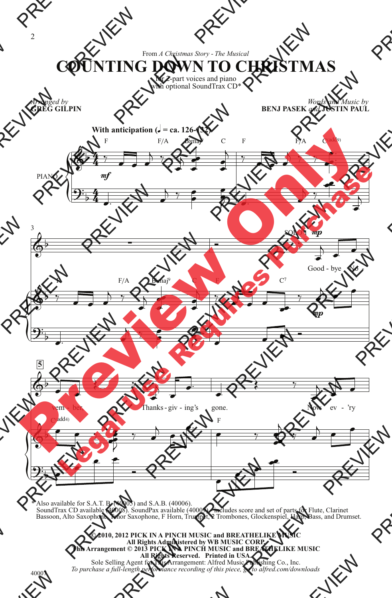## **COUNTING DOWN TO CHRISTMAS**

for 2-part voices and piano with optional SoundTrax CD\*

*Arranged by* **GREG GILPIN**

*Words and Music by* **BENJ PASEK** *and* **JUSTIN PAUL**



\* Also available for S.A.T. B. (40005) and S.A.B. (40006). SoundTrax CD available (40008). SoundPax available (40009) - includes score and set of parts for Flute, Clarinet Bassoon, Alto Saxophone, Tenor Saxophone, F Horn, Trumpet, 2 Trombones, Glockenspiel, Harp, Bass, and Drumset.

## **© 2010, 2012 PICK IN A PINCH MUSIC and BREATHELIKE MUSIC All Rights Administered by WB MUSIC CORP. This Arrangement © 2013 PICK IN A PINCH MUSIC and BREATHELIKE MUSIC All Rights Reserved. Printed in USA.**

Sole Selling Agent for This Arrangement: Alfred Music Publishing Co., Inc. *To purchase a full-length performance recording of this piece, go to alfred.com/downloads*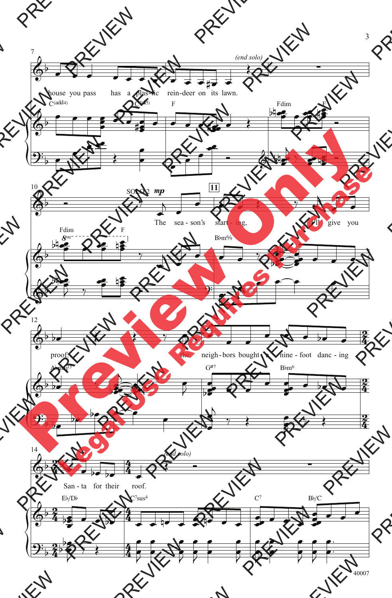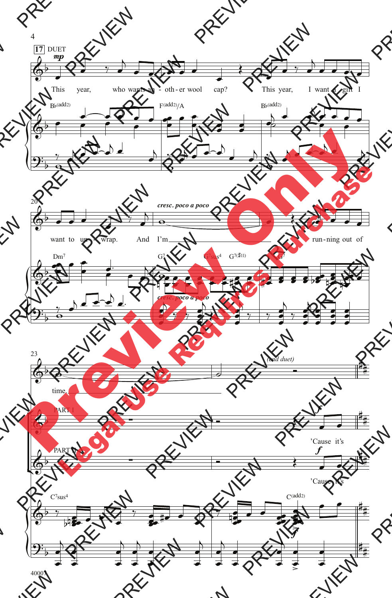

<sup>40007</sup>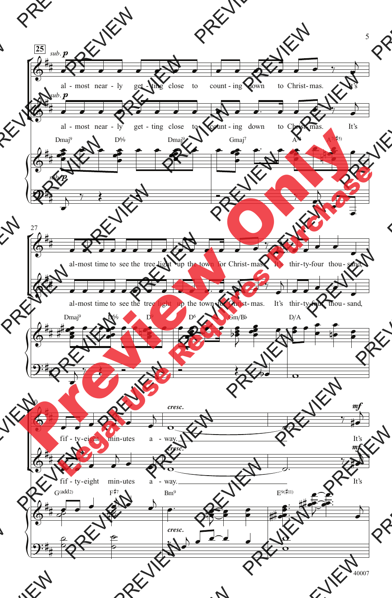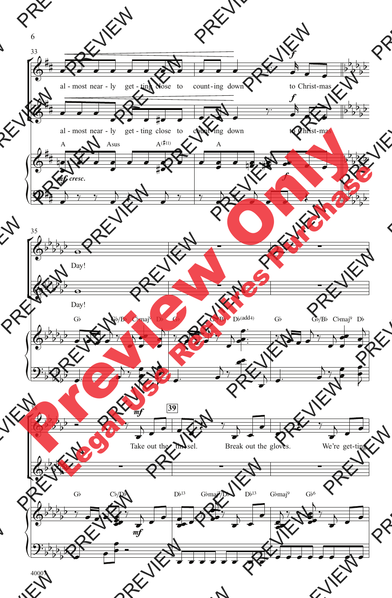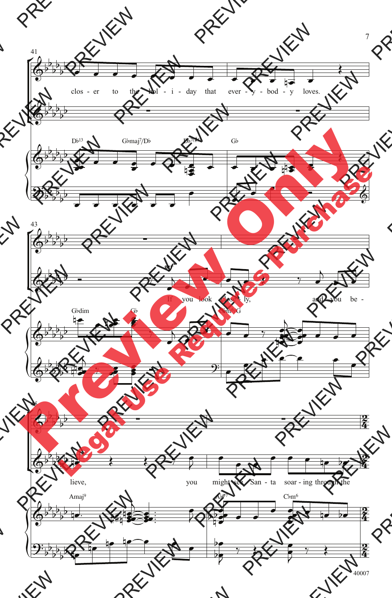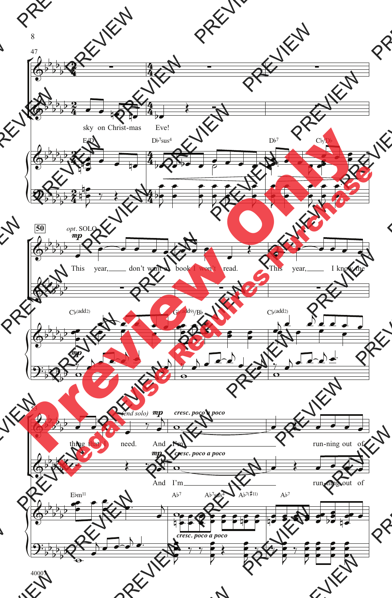

<sup>40007</sup>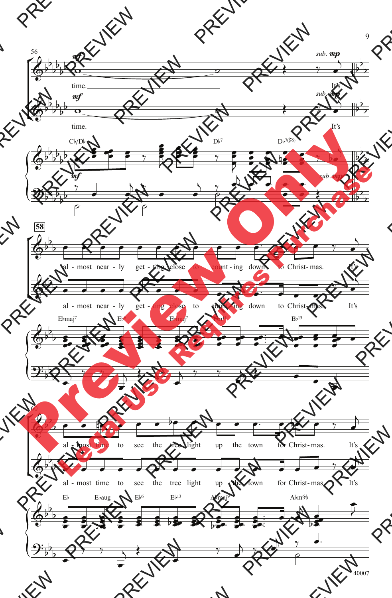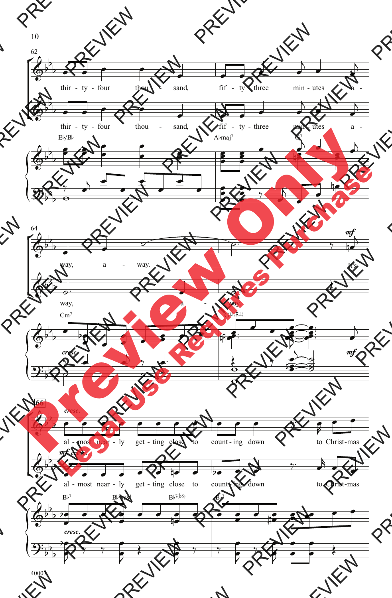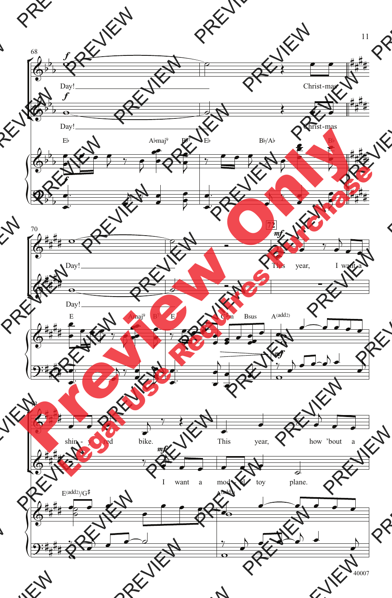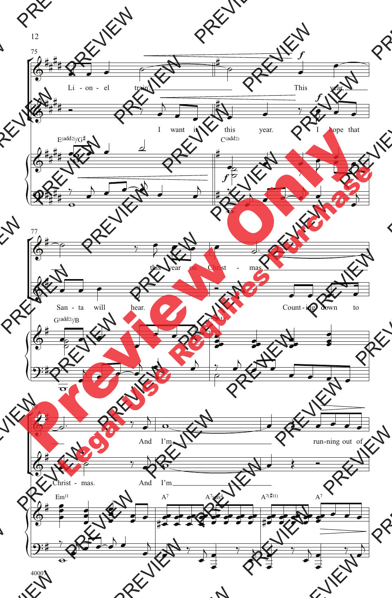

<sup>40007</sup>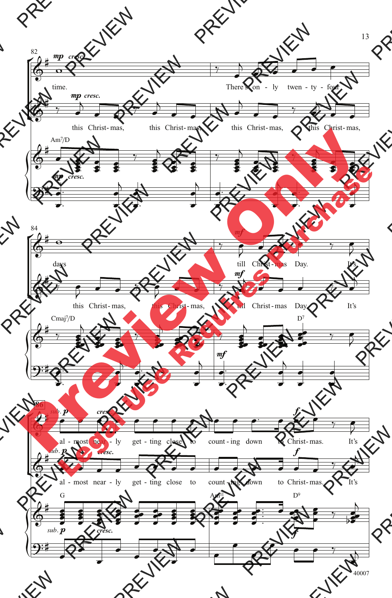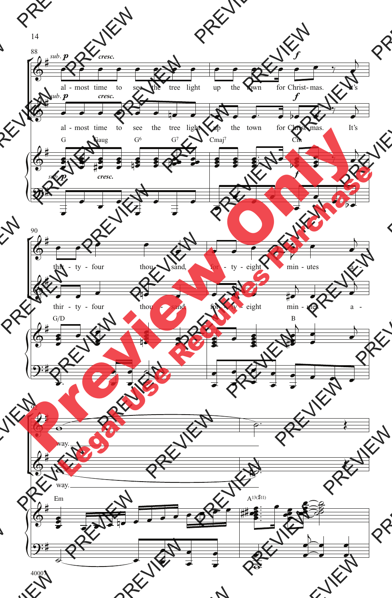